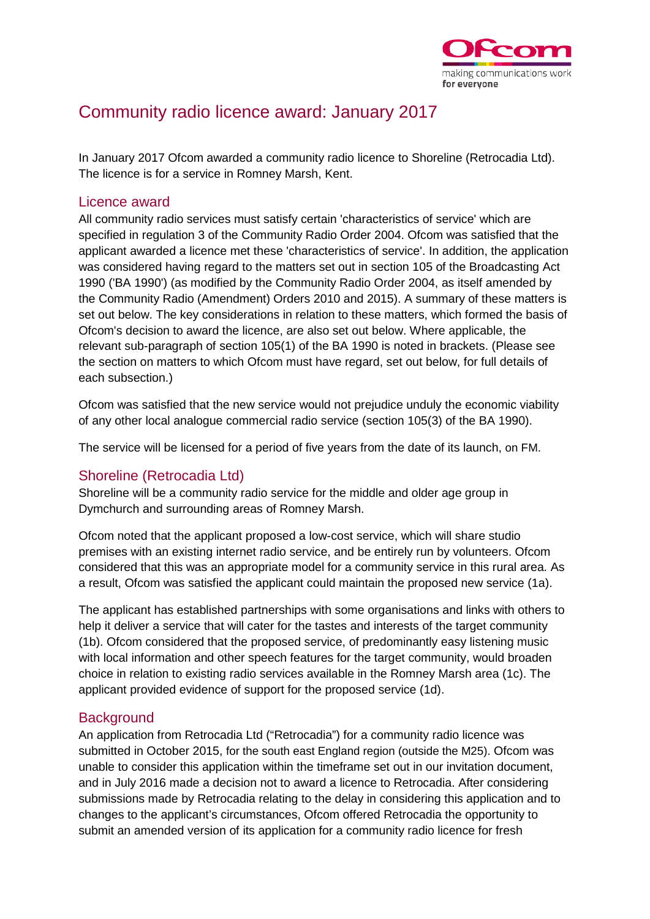

# Community radio licence award: January 2017

In January 2017 Ofcom awarded a community radio licence to Shoreline (Retrocadia Ltd). The licence is for a service in Romney Marsh, Kent.

#### Licence award

All community radio services must satisfy certain 'characteristics of service' which are specified in regulation 3 of the Community Radio Order 2004. Ofcom was satisfied that the applicant awarded a licence met these 'characteristics of service'. In addition, the application was considered having regard to the matters set out in section 105 of the Broadcasting Act 1990 ('BA 1990') (as modified by the Community Radio Order 2004, as itself amended by the Community Radio (Amendment) Orders 2010 and 2015). A summary of these matters is set out below. The key considerations in relation to these matters, which formed the basis of Ofcom's decision to award the licence, are also set out below. Where applicable, the relevant sub-paragraph of section 105(1) of the BA 1990 is noted in brackets. (Please see the section on matters to which Ofcom must have regard, set out below, for full details of each subsection.)

Ofcom was satisfied that the new service would not prejudice unduly the economic viability of any other local analogue commercial radio service (section 105(3) of the BA 1990).

The service will be licensed for a period of five years from the date of its launch, on FM.

# Shoreline (Retrocadia Ltd)

Shoreline will be a community radio service for the middle and older age group in Dymchurch and surrounding areas of Romney Marsh.

Ofcom noted that the applicant proposed a low-cost service, which will share studio premises with an existing internet radio service, and be entirely run by volunteers. Ofcom considered that this was an appropriate model for a community service in this rural area. As a result, Ofcom was satisfied the applicant could maintain the proposed new service (1a).

The applicant has established partnerships with some organisations and links with others to help it deliver a service that will cater for the tastes and interests of the target community (1b). Ofcom considered that the proposed service, of predominantly easy listening music with local information and other speech features for the target community, would broaden choice in relation to existing radio services available in the Romney Marsh area (1c). The applicant provided evidence of support for the proposed service (1d).

# **Background**

An application from Retrocadia Ltd ("Retrocadia") for a community radio licence was submitted in October 2015, for the south east England region (outside the M25). Ofcom was unable to consider this application within the timeframe set out in our invitation document, and in July 2016 made a decision not to award a licence to Retrocadia. After considering submissions made by Retrocadia relating to the delay in considering this application and to changes to the applicant's circumstances, Ofcom offered Retrocadia the opportunity to submit an amended version of its application for a community radio licence for fresh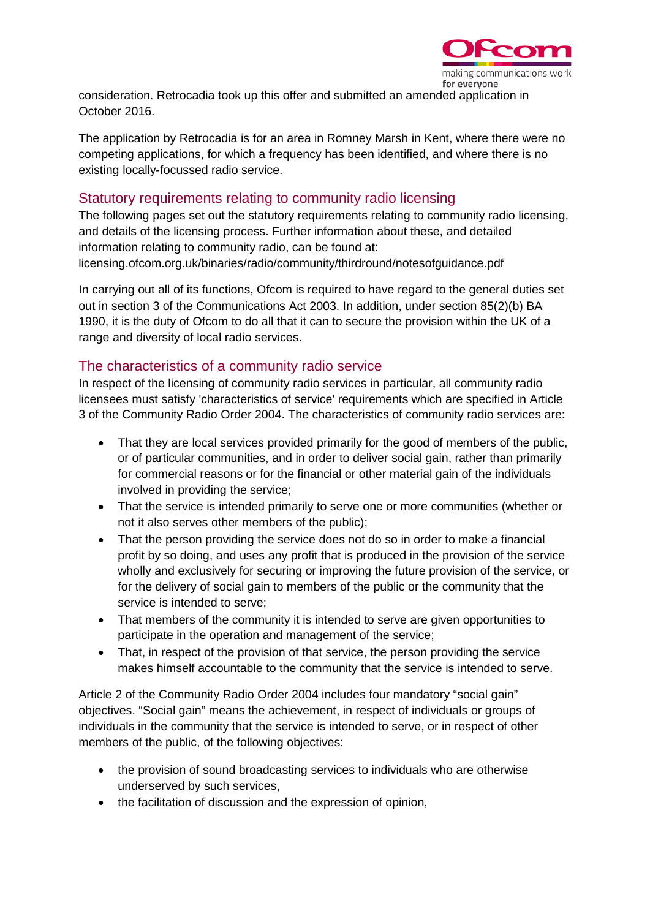

consideration. Retrocadia took up this offer and submitted an amended application in October 2016.

The application by Retrocadia is for an area in Romney Marsh in Kent, where there were no competing applications, for which a frequency has been identified, and where there is no existing locally-focussed radio service.

#### Statutory requirements relating to community radio licensing

The following pages set out the statutory requirements relating to community radio licensing, and details of the licensing process. Further information about these, and detailed information relating to community radio, can be found at: licensing.ofcom.org.uk/binaries/radio/community/thirdround/notesofguidance.pdf

In carrying out all of its functions, Ofcom is required to have regard to the general duties set out in section 3 of the Communications Act 2003. In addition, under section 85(2)(b) BA 1990, it is the duty of Ofcom to do all that it can to secure the provision within the UK of a range and diversity of local radio services.

# The characteristics of a community radio service

In respect of the licensing of community radio services in particular, all community radio licensees must satisfy 'characteristics of service' requirements which are specified in Article 3 of the Community Radio Order 2004. The characteristics of community radio services are:

- That they are local services provided primarily for the good of members of the public, or of particular communities, and in order to deliver social gain, rather than primarily for commercial reasons or for the financial or other material gain of the individuals involved in providing the service;
- That the service is intended primarily to serve one or more communities (whether or not it also serves other members of the public);
- That the person providing the service does not do so in order to make a financial profit by so doing, and uses any profit that is produced in the provision of the service wholly and exclusively for securing or improving the future provision of the service, or for the delivery of social gain to members of the public or the community that the service is intended to serve;
- That members of the community it is intended to serve are given opportunities to participate in the operation and management of the service;
- That, in respect of the provision of that service, the person providing the service makes himself accountable to the community that the service is intended to serve.

Article 2 of the Community Radio Order 2004 includes four mandatory "social gain" objectives. "Social gain" means the achievement, in respect of individuals or groups of individuals in the community that the service is intended to serve, or in respect of other members of the public, of the following objectives:

- the provision of sound broadcasting services to individuals who are otherwise underserved by such services,
- the facilitation of discussion and the expression of opinion,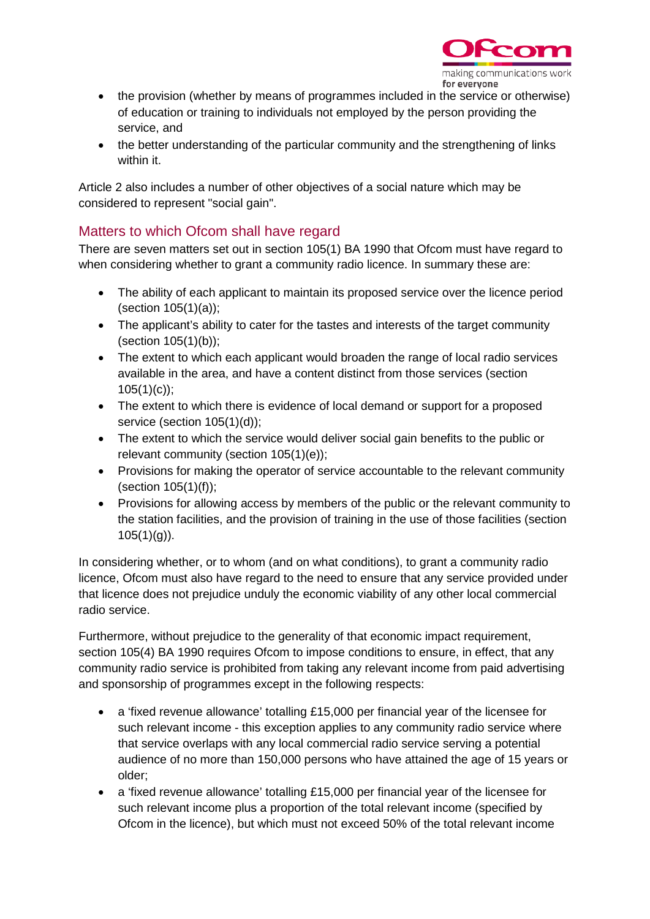

- the provision (whether by means of programmes included in the service or otherwise) of education or training to individuals not employed by the person providing the service, and
- the better understanding of the particular community and the strengthening of links within it.

Article 2 also includes a number of other objectives of a social nature which may be considered to represent "social gain".

# Matters to which Ofcom shall have regard

There are seven matters set out in section 105(1) BA 1990 that Ofcom must have regard to when considering whether to grant a community radio licence. In summary these are:

- The ability of each applicant to maintain its proposed service over the licence period (section 105(1)(a));
- The applicant's ability to cater for the tastes and interests of the target community (section 105(1)(b));
- The extent to which each applicant would broaden the range of local radio services available in the area, and have a content distinct from those services (section  $105(1)(c)$ ;
- The extent to which there is evidence of local demand or support for a proposed service (section 105(1)(d));
- The extent to which the service would deliver social gain benefits to the public or relevant community (section 105(1)(e));
- Provisions for making the operator of service accountable to the relevant community (section 105(1)(f));
- Provisions for allowing access by members of the public or the relevant community to the station facilities, and the provision of training in the use of those facilities (section  $105(1)(g)$ ).

In considering whether, or to whom (and on what conditions), to grant a community radio licence, Ofcom must also have regard to the need to ensure that any service provided under that licence does not prejudice unduly the economic viability of any other local commercial radio service.

Furthermore, without prejudice to the generality of that economic impact requirement, section 105(4) BA 1990 requires Ofcom to impose conditions to ensure, in effect, that any community radio service is prohibited from taking any relevant income from paid advertising and sponsorship of programmes except in the following respects:

- a 'fixed revenue allowance' totalling £15,000 per financial year of the licensee for such relevant income - this exception applies to any community radio service where that service overlaps with any local commercial radio service serving a potential audience of no more than 150,000 persons who have attained the age of 15 years or older;
- a 'fixed revenue allowance' totalling £15,000 per financial year of the licensee for such relevant income plus a proportion of the total relevant income (specified by Ofcom in the licence), but which must not exceed 50% of the total relevant income